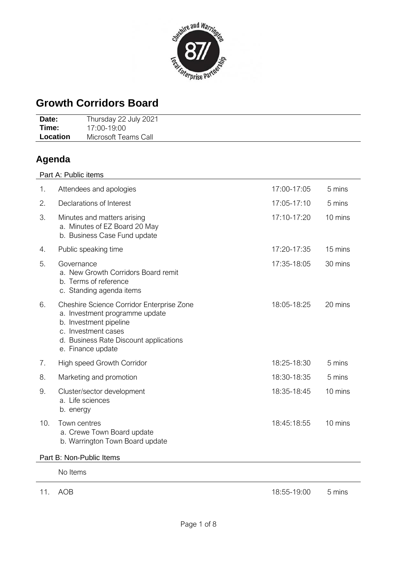

# **Growth Corridors Board**

| Date:    | Thursday 22 July 2021 |
|----------|-----------------------|
| Time:    | 17:00-19:00           |
| Location | Microsoft Teams Call  |

# **Agenda**

| Part A: Public items |                                                                                                                                                                                             |             |         |  |  |  |  |  |
|----------------------|---------------------------------------------------------------------------------------------------------------------------------------------------------------------------------------------|-------------|---------|--|--|--|--|--|
| 1.                   | Attendees and apologies                                                                                                                                                                     | 17:00-17:05 | 5 mins  |  |  |  |  |  |
| 2.                   | Declarations of Interest                                                                                                                                                                    | 17:05-17:10 | 5 mins  |  |  |  |  |  |
| 3.                   | Minutes and matters arising<br>a. Minutes of EZ Board 20 May<br>b. Business Case Fund update                                                                                                | 17:10-17:20 | 10 mins |  |  |  |  |  |
| 4.                   | Public speaking time                                                                                                                                                                        | 17:20-17:35 | 15 mins |  |  |  |  |  |
| 5.                   | Governance<br>a. New Growth Corridors Board remit<br>b. Terms of reference<br>c. Standing agenda items                                                                                      | 17:35-18:05 | 30 mins |  |  |  |  |  |
| 6.                   | Cheshire Science Corridor Enterprise Zone<br>a. Investment programme update<br>b. Investment pipeline<br>c. Investment cases<br>d. Business Rate Discount applications<br>e. Finance update | 18:05-18:25 | 20 mins |  |  |  |  |  |
| 7.                   | High speed Growth Corridor                                                                                                                                                                  | 18:25-18:30 | 5 mins  |  |  |  |  |  |
| 8.                   | Marketing and promotion                                                                                                                                                                     | 18:30-18:35 | 5 mins  |  |  |  |  |  |
| 9.                   | Cluster/sector development<br>a. Life sciences<br>b. energy                                                                                                                                 | 18:35-18:45 | 10 mins |  |  |  |  |  |
| 10.                  | Town centres<br>a. Crewe Town Board update<br>b. Warrington Town Board update                                                                                                               | 18:45:18:55 | 10 mins |  |  |  |  |  |

### Part B: Non-Public Items

No Items

11. AOB 5 mins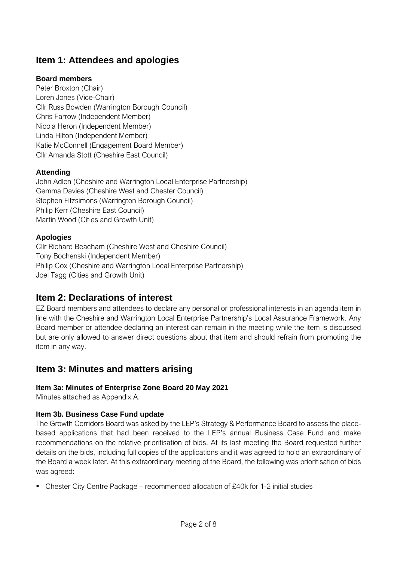## **Item 1: Attendees and apologies**

### **Board members**

Peter Broxton (Chair) Loren Jones (Vice-Chair) Cllr Russ Bowden (Warrington Borough Council) Chris Farrow (Independent Member) Nicola Heron (Independent Member) Linda Hilton (Independent Member) Katie McConnell (Engagement Board Member) Cllr Amanda Stott (Cheshire East Council)

### **Attending**

John Adlen (Cheshire and Warrington Local Enterprise Partnership) Gemma Davies (Cheshire West and Chester Council) Stephen Fitzsimons (Warrington Borough Council) Philip Kerr (Cheshire East Council) Martin Wood (Cities and Growth Unit)

### **Apologies**

Cllr Richard Beacham (Cheshire West and Cheshire Council) Tony Bochenski (Independent Member) Philip Cox (Cheshire and Warrington Local Enterprise Partnership) Joel Tagg (Cities and Growth Unit)

## **Item 2: Declarations of interest**

EZ Board members and attendees to declare any personal or professional interests in an agenda item in line with the Cheshire and Warrington Local Enterprise Partnership's Local Assurance Framework. Any Board member or attendee declaring an interest can remain in the meeting while the item is discussed but are only allowed to answer direct questions about that item and should refrain from promoting the item in any way.

## **Item 3: Minutes and matters arising**

### **Item 3a: Minutes of Enterprise Zone Board 20 May 2021**

Minutes attached as Appendix A.

### **Item 3b. Business Case Fund update**

The Growth Corridors Board was asked by the LEP's Strategy & Performance Board to assess the placebased applications that had been received to the LEP's annual Business Case Fund and make recommendations on the relative prioritisation of bids. At its last meeting the Board requested further details on the bids, including full copies of the applications and it was agreed to hold an extraordinary of the Board a week later. At this extraordinary meeting of the Board, the following was prioritisation of bids was agreed:

**• Chester City Centre Package – recommended allocation of £40k for 1-2 initial studies**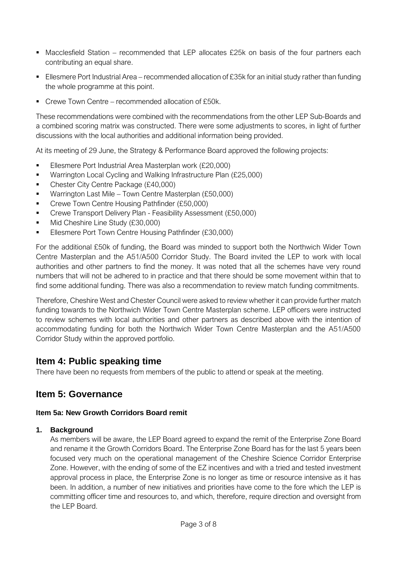- Macclesfield Station recommended that LEP allocates £25k on basis of the four partners each contributing an equal share.
- Ellesmere Port Industrial Area recommended allocation of £35k for an initial study rather than funding the whole programme at this point.
- Crewe Town Centre recommended allocation of £50k.

These recommendations were combined with the recommendations from the other LEP Sub-Boards and a combined scoring matrix was constructed. There were some adjustments to scores, in light of further discussions with the local authorities and additional information being provided.

At its meeting of 29 June, the Strategy & Performance Board approved the following projects:

- Ellesmere Port Industrial Area Masterplan work (£20,000)
- Warrington Local Cycling and Walking Infrastructure Plan (£25,000)
- Chester City Centre Package (£40,000)
- Warrington Last Mile Town Centre Masterplan (£50,000)
- Crewe Town Centre Housing Pathfinder (£50,000)
- Crewe Transport Delivery Plan Feasibility Assessment (£50,000)
- Mid Cheshire Line Study (£30,000)
- Ellesmere Port Town Centre Housing Pathfinder (£30,000)

For the additional £50k of funding, the Board was minded to support both the Northwich Wider Town Centre Masterplan and the A51/A500 Corridor Study. The Board invited the LEP to work with local authorities and other partners to find the money. It was noted that all the schemes have very round numbers that will not be adhered to in practice and that there should be some movement within that to find some additional funding. There was also a recommendation to review match funding commitments.

Therefore, Cheshire West and Chester Council were asked to review whether it can provide further match funding towards to the Northwich Wider Town Centre Masterplan scheme. LEP officers were instructed to review schemes with local authorities and other partners as described above with the intention of accommodating funding for both the Northwich Wider Town Centre Masterplan and the A51/A500 Corridor Study within the approved portfolio.

### **Item 4: Public speaking time**

There have been no requests from members of the public to attend or speak at the meeting.

## **Item 5: Governance**

#### **Item 5a: New Growth Corridors Board remit**

#### **1. Background**

As members will be aware, the LEP Board agreed to expand the remit of the Enterprise Zone Board and rename it the Growth Corridors Board. The Enterprise Zone Board has for the last 5 years been focused very much on the operational management of the Cheshire Science Corridor Enterprise Zone. However, with the ending of some of the EZ incentives and with a tried and tested investment approval process in place, the Enterprise Zone is no longer as time or resource intensive as it has been. In addition, a number of new initiatives and priorities have come to the fore which the LEP is committing officer time and resources to, and which, therefore, require direction and oversight from the LEP Board.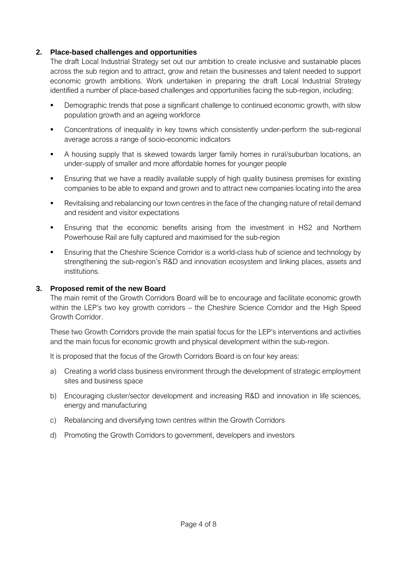#### **2. Place-based challenges and opportunities**

The draft Local Industrial Strategy set out our ambition to create inclusive and sustainable places across the sub region and to attract, grow and retain the businesses and talent needed to support economic growth ambitions. Work undertaken in preparing the draft Local Industrial Strategy identified a number of place-based challenges and opportunities facing the sub-region, including:

- **•** Demographic trends that pose a significant challenge to continued economic growth, with slow population growth and an ageing workforce
- Concentrations of inequality in key towns which consistently under-perform the sub-regional average across a range of socio-economic indicators
- **EXECT** A housing supply that is skewed towards larger family homes in rural/suburban locations, an under-supply of smaller and more affordable homes for younger people
- **E** Ensuring that we have a readily available supply of high quality business premises for existing companies to be able to expand and grown and to attract new companies locating into the area
- Revitalising and rebalancing our town centres in the face of the changing nature of retail demand and resident and visitor expectations
- **Ensuring that the economic benefits arising from the investment in HS2 and Northern** Powerhouse Rail are fully captured and maximised for the sub-region
- Ensuring that the Cheshire Science Corridor is a world-class hub of science and technology by strengthening the sub-region's R&D and innovation ecosystem and linking places, assets and institutions.

#### **3. Proposed remit of the new Board**

The main remit of the Growth Corridors Board will be to encourage and facilitate economic growth within the LEP's two key growth corridors – the Cheshire Science Corridor and the High Speed Growth Corridor.

These two Growth Corridors provide the main spatial focus for the LEP's interventions and activities and the main focus for economic growth and physical development within the sub-region.

It is proposed that the focus of the Growth Corridors Board is on four key areas:

- a) Creating a world class business environment through the development of strategic employment sites and business space
- b) Encouraging cluster/sector development and increasing R&D and innovation in life sciences, energy and manufacturing
- c) Rebalancing and diversifying town centres within the Growth Corridors
- d) Promoting the Growth Corridors to government, developers and investors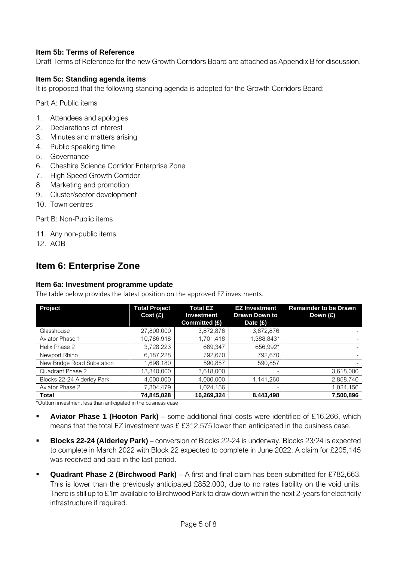#### **Item 5b: Terms of Reference**

Draft Terms of Reference for the new Growth Corridors Board are attached as Appendix B for discussion.

#### **Item 5c: Standing agenda items**

It is proposed that the following standing agenda is adopted for the Growth Corridors Board:

Part A: Public items

- 1. Attendees and apologies
- 2. Declarations of interest
- 3. Minutes and matters arising
- 4. Public speaking time
- 5. Governance
- 6. Cheshire Science Corridor Enterprise Zone
- 7. High Speed Growth Corridor
- 8. Marketing and promotion
- 9. Cluster/sector development
- 10. Town centres

Part B: Non-Public items

- 11. Any non-public items
- 12. AOB

### **Item 6: Enterprise Zone**

#### **Item 6a: Investment programme update**

The table below provides the latest position on the approved EZ investments.

| Project                    | <b>Total Project</b><br>Cost(E) | <b>Total EZ</b><br><b>Investment</b><br>Committed (£) | <b>EZ Investment</b><br><b>Drawn Down to</b><br>Date $(f)$ | <b>Remainder to be Drawn</b><br>Down (£) |
|----------------------------|---------------------------------|-------------------------------------------------------|------------------------------------------------------------|------------------------------------------|
| Glasshouse                 | 27,800,000                      | 3,872,876                                             | 3,872,876                                                  |                                          |
| Aviator Phase 1            | 10,786,918                      | 1,701,418                                             | 1,388,843*                                                 |                                          |
| Helix Phase 2              | 3,728,223                       | 669,347                                               | 656,992*                                                   |                                          |
| Newport Rhino              | 6,187,228                       | 792,670                                               | 792,670                                                    | $\overline{\phantom{0}}$                 |
| New Bridge Road Substation | 1,698,180                       | 590.857                                               | 590,857                                                    |                                          |
| Quadrant Phase 2           | 13,340,000                      | 3,618,000                                             |                                                            | 3,618,000                                |
| Blocks 22-24 Alderley Park | 4,000,000                       | 4,000,000                                             | 1,141,260                                                  | 2,858,740                                |
| Aviator Phase 2            | 7,304,479                       | 1,024,156                                             |                                                            | 1,024,156                                |
| <b>Total</b>               | 74,845,028                      | 16,269,324                                            | 8,443,498                                                  | 7,500,896                                |

\*Outturn investment less than anticipated in the business case

- **Aviator Phase 1 (Hooton Park)** some additional final costs were identified of £16,266, which means that the total EZ investment was £ £312,575 lower than anticipated in the business case.
- **Blocks 22-24 (Alderley Park)** conversion of Blocks 22-24 is underway. Blocks 23/24 is expected to complete in March 2022 with Block 22 expected to complete in June 2022. A claim for £205,145 was received and paid in the last period.
- **Quadrant Phase 2 (Birchwood Park)** A first and final claim has been submitted for £782,663. This is lower than the previously anticipated £852,000, due to no rates liability on the void units. There is still up to £1m available to Birchwood Park to draw down within the next 2-years for electricity infrastructure if required.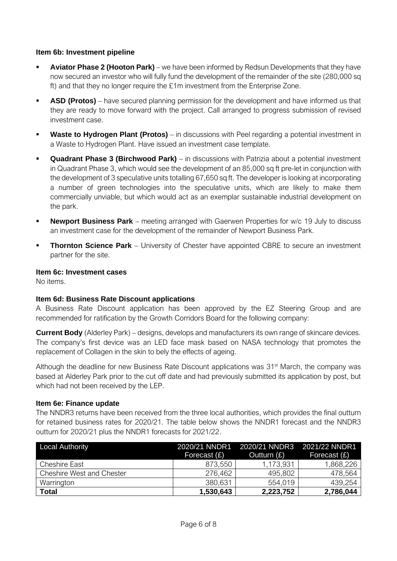#### **Item 6b: Investment pipeline**

- **Aviator Phase 2 <b>(Hooton Park)** we have been informed by Redsun Developments that they have now secured an investor who will fully fund the development of the remainder of the site (280,000 sq ft) and that they no longer require the £1m investment from the Enterprise Zone.
- **ASD (Protos)** have secured planning permission for the development and have informed us that they are ready to move forward with the project. Call arranged to progress submission of revised investment case.
- **Waste to Hydrogen Plant (Protos)** in discussions with Peel regarding a potential investment in a Waste to Hydrogen Plant. Have issued an investment case template.
- **Quadrant Phase 3 (Birchwood Park)** in discussions with Patrizia about a potential investment in Quadrant Phase 3, which would see the development of an 85,000 sq ft pre-let in conjunction with the development of 3 speculative units totalling 67,650 sq ft. The developer is looking at incorporating a number of green technologies into the speculative units, which are likely to make them commercially unviable, but which would act as an exemplar sustainable industrial development on the park.
- **Newport Business Park** meeting arranged with Gaerwen Properties for w/c 19 July to discuss an investment case for the development of the remainder of Newport Business Park.
- **Thornton Science Park** University of Chester have appointed CBRE to secure an investment partner for the site.

#### **Item 6c: Investment cases**

No items.

#### **Item 6d: Business Rate Discount applications**

A Business Rate Discount application has been approved by the EZ Steering Group and are recommended for ratification by the Growth Corridors Board for the following company:

**Current Body** (Alderley Park) – designs, develops and manufacturers its own range of skincare devices. The company's first device was an LED face mask based on NASA technology that promotes the replacement of Collagen in the skin to bely the effects of ageing.

Although the deadline for new Business Rate Discount applications was  $31<sup>st</sup>$  March, the company was based at Alderley Park prior to the cut off date and had previously submitted its application by post, but which had not been received by the LEP.

#### **Item 6e: Finance update**

The NNDR3 returns have been received from the three local authorities, which provides the final outturn for retained business rates for 2020/21. The table below shows the NNDR1 forecast and the NNDR3 outturn for 2020/21 plus the NNDR1 forecasts for 2021/22.

| <b>Local Authority</b>           | 2020/21 NNDR1<br>Forecast $(E)$ | 2020/21 NNDR3 2021/22 NNDR1<br>Outturn (£) | Forecast (£) |
|----------------------------------|---------------------------------|--------------------------------------------|--------------|
| <b>Cheshire East</b>             | 873,550                         | 1,173,931                                  | 1,868,226    |
| <b>Cheshire West and Chester</b> | 276.462                         | 495,802                                    | 478,564      |
| Warrington                       | 380,631                         | 554,019                                    | 439,254      |
| <b>Total</b>                     | 1,530,643                       | 2,223,752                                  | 2,786,044    |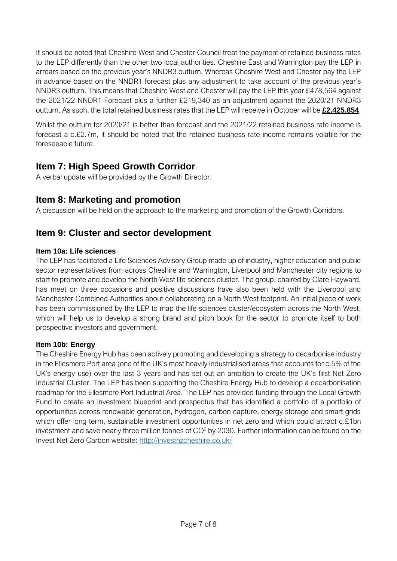It should be noted that Cheshire West and Chester Council treat the payment of retained business rates to the LEP differently than the other two local authorities. Cheshire East and Warrington pay the LEP in arrears based on the previous year's NNDR3 outturn. Whereas Cheshire West and Chester pay the LEP in advance based on the NNDR1 forecast plus any adjustment to take account of the previous year's NNDR3 outturn. This means that Cheshire West and Chester will pay the LEP this year £478,564 against the 2021/22 NNDR1 Forecast plus a further £219,340 as an adjustment against the 2020/21 NNDR3 outturn. As such, the total retained business rates that the LEP will receive in October will be **£2,425,854**.

Whilst the outturn for 2020/21 is better than forecast and the 2021/22 retained business rate income is forecast a c.£2.7m, it should be noted that the retained business rate income remains volatile for the foreseeable future.

## **Item 7: High Speed Growth Corridor**

A verbal update will be provided by the Growth Director.

## **Item 8: Marketing and promotion**

A discussion will be held on the approach to the marketing and promotion of the Growth Corridors.

## **Item 9: Cluster and sector development**

### **Item 10a: Life sciences**

The LEP has facilitated a Life Sciences Advisory Group made up of industry, higher education and public sector representatives from across Cheshire and Warrington, Liverpool and Manchester city regions to start to promote and develop the North West life sciences cluster. The group, chaired by Clare Hayward, has meet on three occasions and positive discussions have also been held with the Liverpool and Manchester Combined Authorities about collaborating on a North West footprint. An initial piece of work has been commissioned by the LEP to map the life sciences cluster/ecosystem across the North West, which will help us to develop a strong brand and pitch book for the sector to promote itself to both prospective investors and government.

#### **Item 10b: Energy**

The Cheshire Energy Hub has been actively promoting and developing a strategy to decarbonise industry in the Ellesmere Port area (one of the UK's most heavily industrialised areas that accounts for c.5% of the UK's energy use) over the last 3 years and has set out an ambition to create the UK's first Net Zero Industrial Cluster. The LEP has been supporting the Cheshire Energy Hub to develop a decarbonisation roadmap for the Ellesmere Port Industrial Area. The LEP has provided funding through the Local Growth Fund to create an investment blueprint and prospectus that has identified a portfolio of a portfolio of opportunities across renewable generation, hydrogen, carbon capture, energy storage and smart grids which offer long term, sustainable investment opportunities in net zero and which could attract c.£1bn investment and save nearly three million tonnes of  $CO<sup>2</sup>$  by 2030. Further information can be found on the Invest Net Zero Carbon website:<http://investnzcheshire.co.uk/>